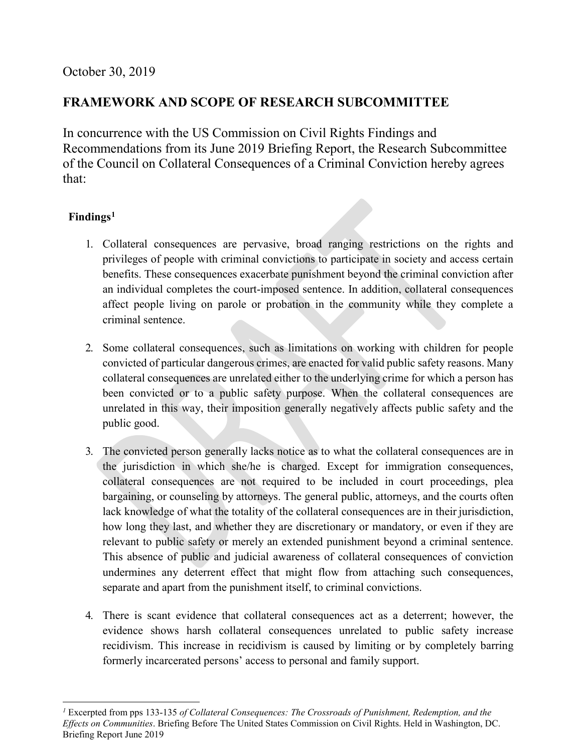## **FRAMEWORK AND SCOPE OF RESEARCH SUBCOMMITTEE**

In concurrence with the US Commission on Civil Rights Findings and Recommendations from its June 2019 Briefing Report, the Research Subcommittee of the Council on Collateral Consequences of a Criminal Conviction hereby agrees that:

## **Findings[1](#page-0-0)**

- 1. Collateral consequences are pervasive, broad ranging restrictions on the rights and privileges of people with criminal convictions to participate in society and access certain benefits. These consequences exacerbate punishment beyond the criminal conviction after an individual completes the court-imposed sentence. In addition, collateral consequences affect people living on parole or probation in the community while they complete a criminal sentence.
- 2. Some collateral consequences, such as limitations on working with children for people convicted of particular dangerous crimes, are enacted for valid public safety reasons. Many collateral consequences are unrelated either to the underlying crime for which a person has been convicted or to a public safety purpose. When the collateral consequences are unrelated in this way, their imposition generally negatively affects public safety and the public good.
- 3. The convicted person generally lacks notice as to what the collateral consequences are in the jurisdiction in which she/he is charged. Except for immigration consequences, collateral consequences are not required to be included in court proceedings, plea bargaining, or counseling by attorneys. The general public, attorneys, and the courts often lack knowledge of what the totality of the collateral consequences are in their jurisdiction, how long they last, and whether they are discretionary or mandatory, or even if they are relevant to public safety or merely an extended punishment beyond a criminal sentence. This absence of public and judicial awareness of collateral consequences of conviction undermines any deterrent effect that might flow from attaching such consequences, separate and apart from the punishment itself, to criminal convictions.
- 4. There is scant evidence that collateral consequences act as a deterrent; however, the evidence shows harsh collateral consequences unrelated to public safety increase recidivism. This increase in recidivism is caused by limiting or by completely barring formerly incarcerated persons' access to personal and family support.

<span id="page-0-0"></span> $\overline{a}$ *<sup>1</sup>* Excerpted from pps 133-135 *of Collateral Consequences: The Crossroads of Punishment, Redemption, and the Effects on Communities*. Briefing Before The United States Commission on Civil Rights. Held in Washington, DC. Briefing Report June 2019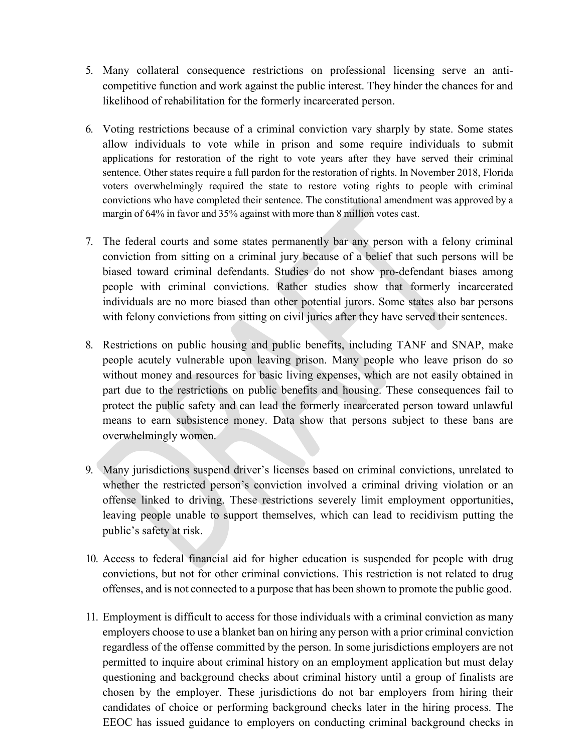- 5. Many collateral consequence restrictions on professional licensing serve an anticompetitive function and work against the public interest. They hinder the chances for and likelihood of rehabilitation for the formerly incarcerated person.
- 6. Voting restrictions because of a criminal conviction vary sharply by state. Some states allow individuals to vote while in prison and some require individuals to submit applications for restoration of the right to vote years after they have served their criminal sentence. Other states require a full pardon for the restoration of rights. In November 2018, Florida voters overwhelmingly required the state to restore voting rights to people with criminal convictions who have completed their sentence. The constitutional amendment was approved by a margin of 64% in favor and 35% against with more than 8 million votes cast.
- 7. The federal courts and some states permanently bar any person with a felony criminal conviction from sitting on a criminal jury because of a belief that such persons will be biased toward criminal defendants. Studies do not show pro-defendant biases among people with criminal convictions. Rather studies show that formerly incarcerated individuals are no more biased than other potential jurors. Some states also bar persons with felony convictions from sitting on civil juries after they have served their sentences.
- 8. Restrictions on public housing and public benefits, including TANF and SNAP, make people acutely vulnerable upon leaving prison. Many people who leave prison do so without money and resources for basic living expenses, which are not easily obtained in part due to the restrictions on public benefits and housing. These consequences fail to protect the public safety and can lead the formerly incarcerated person toward unlawful means to earn subsistence money. Data show that persons subject to these bans are overwhelmingly women.
- 9. Many jurisdictions suspend driver's licenses based on criminal convictions, unrelated to whether the restricted person's conviction involved a criminal driving violation or an offense linked to driving. These restrictions severely limit employment opportunities, leaving people unable to support themselves, which can lead to recidivism putting the public's safety at risk.
- 10. Access to federal financial aid for higher education is suspended for people with drug convictions, but not for other criminal convictions. This restriction is not related to drug offenses, and is not connected to a purpose that has been shown to promote the public good.
- 11. Employment is difficult to access for those individuals with a criminal conviction as many employers choose to use a blanket ban on hiring any person with a prior criminal conviction regardless of the offense committed by the person. In some jurisdictions employers are not permitted to inquire about criminal history on an employment application but must delay questioning and background checks about criminal history until a group of finalists are chosen by the employer. These jurisdictions do not bar employers from hiring their candidates of choice or performing background checks later in the hiring process. The EEOC has issued guidance to employers on conducting criminal background checks in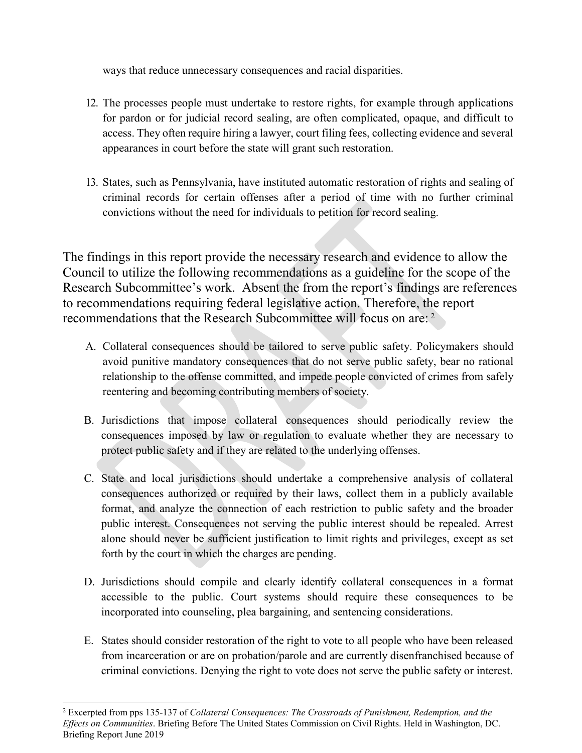ways that reduce unnecessary consequences and racial disparities.

- 12. The processes people must undertake to restore rights, for example through applications for pardon or for judicial record sealing, are often complicated, opaque, and difficult to access. They often require hiring a lawyer, court filing fees, collecting evidence and several appearances in court before the state will grant such restoration.
- 13. States, such as Pennsylvania, have instituted automatic restoration of rights and sealing of criminal records for certain offenses after a period of time with no further criminal convictions without the need for individuals to petition for record sealing.

The findings in this report provide the necessary research and evidence to allow the Council to utilize the following recommendations as a guideline for the scope of the Research Subcommittee's work. Absent the from the report's findings are references to recommendations requiring federal legislative action. Therefore, the report recommendations that the Research Subcommittee will focus on are: [2](#page-2-0)

- A. Collateral consequences should be tailored to serve public safety. Policymakers should avoid punitive mandatory consequences that do not serve public safety, bear no rational relationship to the offense committed, and impede people convicted of crimes from safely reentering and becoming contributing members of society.
- B. Jurisdictions that impose collateral consequences should periodically review the consequences imposed by law or regulation to evaluate whether they are necessary to protect public safety and if they are related to the underlying offenses.
- C. State and local jurisdictions should undertake a comprehensive analysis of collateral consequences authorized or required by their laws, collect them in a publicly available format, and analyze the connection of each restriction to public safety and the broader public interest. Consequences not serving the public interest should be repealed. Arrest alone should never be sufficient justification to limit rights and privileges, except as set forth by the court in which the charges are pending.
- D. Jurisdictions should compile and clearly identify collateral consequences in a format accessible to the public. Court systems should require these consequences to be incorporated into counseling, plea bargaining, and sentencing considerations.
- E. States should consider restoration of the right to vote to all people who have been released from incarceration or are on probation/parole and are currently disenfranchised because of criminal convictions. Denying the right to vote does not serve the public safety or interest.

<span id="page-2-0"></span> <sup>2</sup> Excerpted from pps 135-137 of *Collateral Consequences: The Crossroads of Punishment, Redemption, and the Effects on Communities*. Briefing Before The United States Commission on Civil Rights. Held in Washington, DC. Briefing Report June 2019